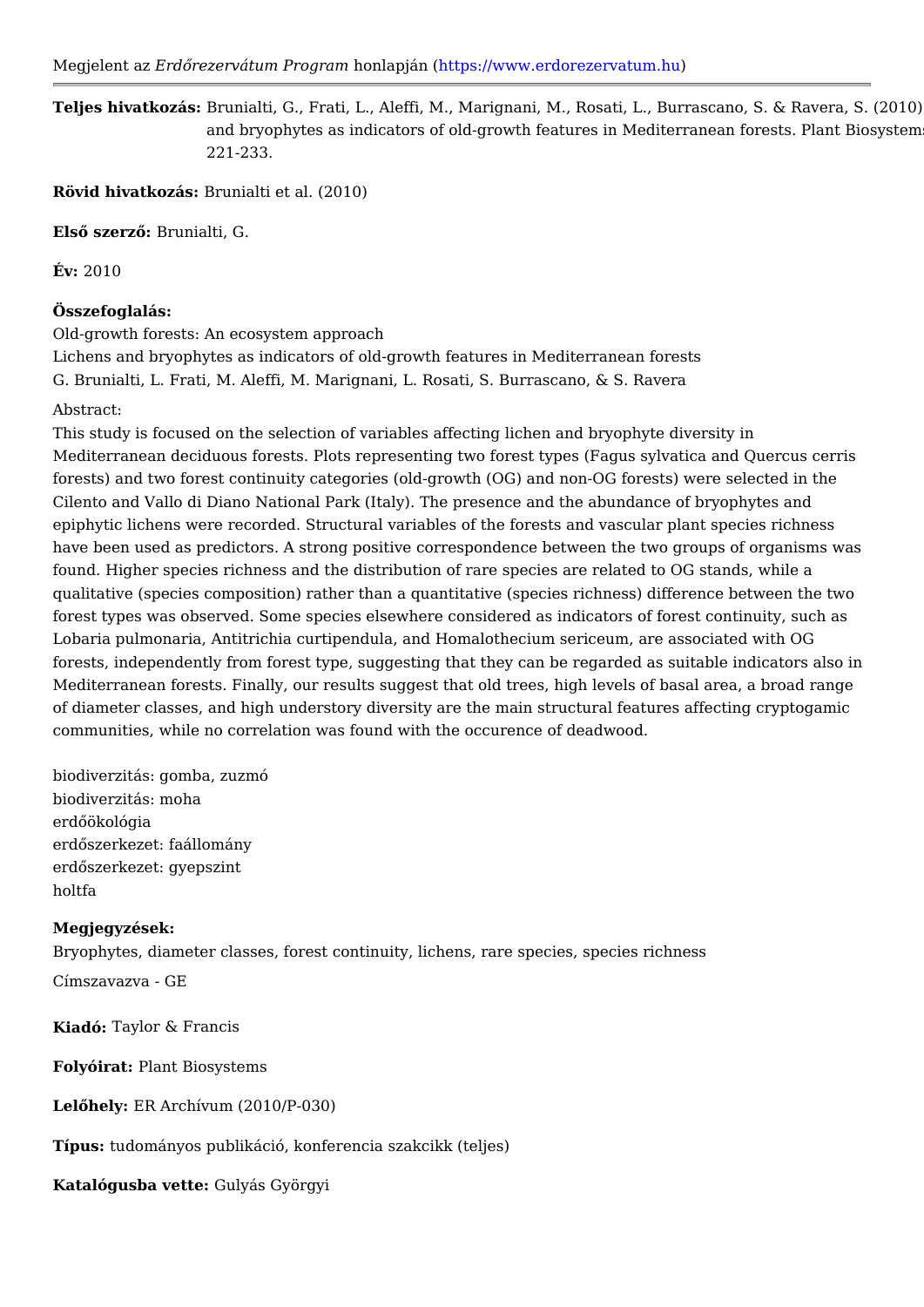Megjelent Earzd Qrezervátum Prohopmal mapjántt ( ps://www.erdorezerv atum.hu

Teljes hivatkozBársu:nialti, G., Frati, L., Aleffi, M., Marignani, M., Rosati, L., Burras and bryophytes as indicators of old-growth features in Mediterrane 221-233.

Rövid hivatkozhsunialti et al. (2010)

ElsQ szer<sup>BQunialti, G.</sup>

 $Év: 2010$ 

Összefoglalás:

Old-growth forests: An ecosystem approach

Lichens and bryophytes as indicators of old-growth features in Mediterranean fore G. Brunialti, L. Frati, M. Aleffi, M. Marignani, L. Rosati, S. Burrascano, & S. Rav

Abstract:

This study is focused on the selection of variables affecting lichen and bryophyte Mediterranean deciduous forests. Plots representing two forest types (Fagus sylv forests) and two forest continuity categories (old-growth (OG) and non-OG forests Cilento and Vallo di Diano National Park (Italy). The presence and the abundance epiphytic lichens were recorded. Structural variables of the forests and vascular have been used as predictors. A strong positive correspondence between the two found. Higher species richness and the distribution of rare species are related to qualitative (species composition) rather than a quantitative (species richness) dif forest types was observed. Some species elsewhere considered as indicators of forest Lobaria pulmonaria, Antitrichia curtipendula, and Homalothecium sericeum, are as forests, independently from forest type, suggesting that they can be regarded as Mediterranean forests. Finally, our results suggest that old trees, high levels of basal area, and range range of diameter classes, and high understory diversity are the main structural feature communities, while no correlation was found with the occurence of deadwood.

biodiverzitás: gomba, zuzmó biodiverzitás: moha erdQökológia erdQszerkezet: faállomány erdQszerkezet: gyepszint holtfa

Megjegyzések: Bryophytes, diameter classes, forest continuity, lichens, rare species, species ric

Címszavazva - GE

Kiadó: Taylor & Francis

FolyóiraPlant Biosystems

LelQhelE:R Archívum (2010/P-030)

Típustudományos publikáció, konferencia szakcikk (teljes)

Katalógusba ve**Ge**lyás Györgyi